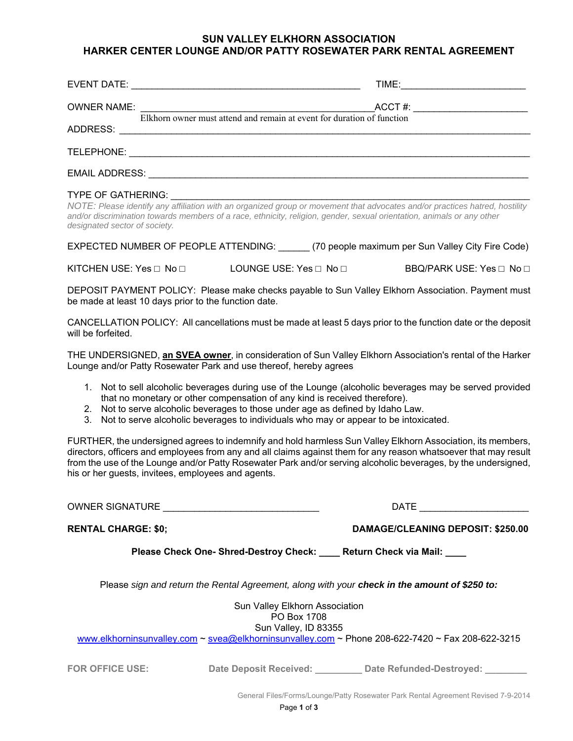## **SUN VALLEY ELKHORN ASSOCIATION HARKER CENTER LOUNGE AND/OR PATTY ROSEWATER PARK RENTAL AGREEMENT**

|                    |                                                                                   | TIME: _________________________     |  |  |
|--------------------|-----------------------------------------------------------------------------------|-------------------------------------|--|--|
| <b>OWNER NAME:</b> | ACC F#:<br>Elkhorn owner must attend and remain at event for duration of function | ACCT #: ___________________________ |  |  |
|                    |                                                                                   |                                     |  |  |
|                    |                                                                                   |                                     |  |  |
|                    |                                                                                   |                                     |  |  |

#### TYPE OF GATHERING:

*NOTE: Please identify any affiliation with an organized group or movement that advocates and/or practices hatred, hostility and/or discrimination towards members of a race, ethnicity, religion, gender, sexual orientation, animals or any other designated sector of society.*

EXPECTED NUMBER OF PEOPLE ATTENDING: \_\_\_\_\_\_ (70 people maximum per Sun Valley City Fire Code)

KITCHEN USE: Yes □ No □ LOUNGE USE: Yes □ No □ BBQ/PARK USE: Yes □ No □

DEPOSIT PAYMENT POLICY: Please make checks payable to Sun Valley Elkhorn Association. Payment must be made at least 10 days prior to the function date.

CANCELLATION POLICY: All cancellations must be made at least 5 days prior to the function date or the deposit will be forfeited.

THE UNDERSIGNED, **an SVEA owner**, in consideration of Sun Valley Elkhorn Association's rental of the Harker Lounge and/or Patty Rosewater Park and use thereof, hereby agrees

- 1. Not to sell alcoholic beverages during use of the Lounge (alcoholic beverages may be served provided that no monetary or other compensation of any kind is received therefore).
- 2. Not to serve alcoholic beverages to those under age as defined by Idaho Law.
- 3. Not to serve alcoholic beverages to individuals who may or appear to be intoxicated.

FURTHER, the undersigned agrees to indemnify and hold harmless Sun Valley Elkhorn Association, its members, directors, officers and employees from any and all claims against them for any reason whatsoever that may result from the use of the Lounge and/or Patty Rosewater Park and/or serving alcoholic beverages, by the undersigned, his or her guests, invitees, employees and agents.

OWNER SIGNATURE \_\_\_\_\_\_\_\_\_\_\_\_\_\_\_\_\_\_\_\_\_\_\_\_\_\_\_\_\_\_ DATE \_\_\_\_\_\_\_\_\_\_\_\_\_\_\_\_\_\_\_\_\_

**RENTAL CHARGE: \$0; DAMAGE/CLEANING DEPOSIT: \$250.00** 

**Please Check One- Shred-Destroy Check: \_\_\_\_ Return Check via Mail: \_\_\_\_** 

Please *sign and return the Rental Agreement, along with your check in the amount of \$250 to:* 

| Sun Valley Elkhorn Association<br>PO Box 1708<br>Sun Valley, ID 83355<br>www.elkhorninsunvalley.com ~ svea@elkhorninsunvalley.com ~ Phone 208-622-7420 ~ Fax 208-622-3215 |                        |                          |  |
|---------------------------------------------------------------------------------------------------------------------------------------------------------------------------|------------------------|--------------------------|--|
| <b>FOR OFFICE USE:</b>                                                                                                                                                    | Date Deposit Received: | Date Refunded-Destroyed: |  |

General Files/Forms/Lounge/Patty Rosewater Park Rental Agreement Revised 7-9-2014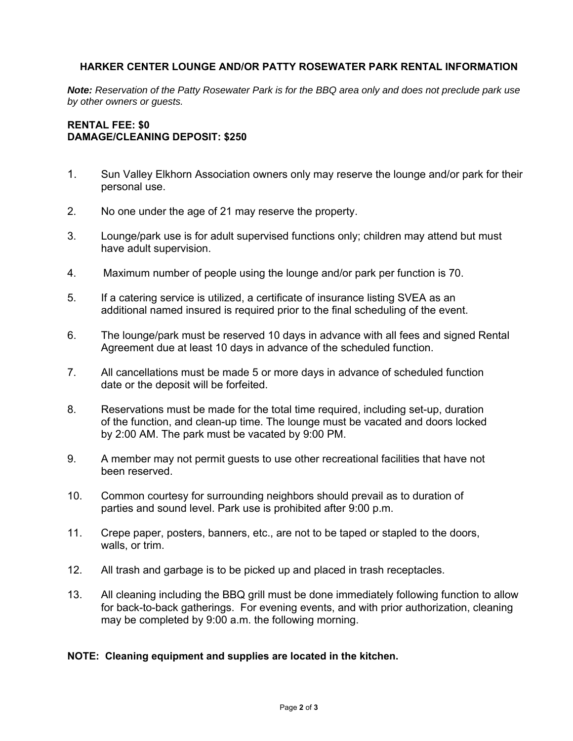## **HARKER CENTER LOUNGE AND/OR PATTY ROSEWATER PARK RENTAL INFORMATION**

*Note: Reservation of the Patty Rosewater Park is for the BBQ area only and does not preclude park use by other owners or guests.* 

## **RENTAL FEE: \$0 DAMAGE/CLEANING DEPOSIT: \$250**

- 1. Sun Valley Elkhorn Association owners only may reserve the lounge and/or park for their personal use.
- 2. No one under the age of 21 may reserve the property.
- 3. Lounge/park use is for adult supervised functions only; children may attend but must have adult supervision.
- 4. Maximum number of people using the lounge and/or park per function is 70.
- 5. If a catering service is utilized, a certificate of insurance listing SVEA as an additional named insured is required prior to the final scheduling of the event.
- 6. The lounge/park must be reserved 10 days in advance with all fees and signed Rental Agreement due at least 10 days in advance of the scheduled function.
- 7. All cancellations must be made 5 or more days in advance of scheduled function date or the deposit will be forfeited.
- 8. Reservations must be made for the total time required, including set-up, duration of the function, and clean-up time. The lounge must be vacated and doors locked by 2:00 AM. The park must be vacated by 9:00 PM.
- 9. A member may not permit guests to use other recreational facilities that have not been reserved.
- 10. Common courtesy for surrounding neighbors should prevail as to duration of parties and sound level. Park use is prohibited after 9:00 p.m.
- 11. Crepe paper, posters, banners, etc., are not to be taped or stapled to the doors, walls, or trim.
- 12. All trash and garbage is to be picked up and placed in trash receptacles.
- 13. All cleaning including the BBQ grill must be done immediately following function to allow for back-to-back gatherings. For evening events, and with prior authorization, cleaning may be completed by 9:00 a.m. the following morning.

## **NOTE: Cleaning equipment and supplies are located in the kitchen.**